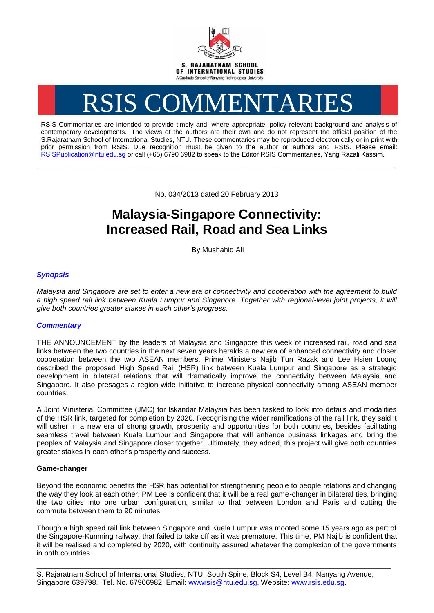

# RSIS COMMENTARIES

RSIS Commentaries are intended to provide timely and, where appropriate, policy relevant background and analysis of contemporary developments. The views of the authors are their own and do not represent the official position of the S.Rajaratnam School of International Studies, NTU. These commentaries may be reproduced electronically or in print with prior permission from RSIS. Due recognition must be given to the author or authors and RSIS. Please email: [RSISPublication@ntu.edu.sg](mailto:RSISPublication@ntu.edu.sg) or call (+65) 6790 6982 to speak to the Editor RSIS Commentaries, Yang Razali Kassim.

No. 034/2013 dated 20 February 2013

**\_\_\_\_\_\_\_\_\_\_\_\_\_\_\_\_\_\_\_\_\_\_\_\_\_\_\_\_\_\_\_\_\_\_\_\_\_\_\_\_\_\_\_\_\_\_\_\_\_\_\_\_\_\_\_\_\_\_\_\_\_\_\_\_\_\_\_\_\_\_\_\_\_\_\_\_\_\_\_\_\_\_\_\_\_\_\_\_\_\_\_\_\_\_\_\_\_\_**

# **Malaysia-Singapore Connectivity: Increased Rail, Road and Sea Links**

By Mushahid Ali

# *Synopsis*

*Malaysia and Singapore are set to enter a new era of connectivity and cooperation with the agreement to build*  a high speed rail link between Kuala Lumpur and Singapore. Together with regional-level joint projects, it will *give both countries greater stakes in each other's progress.*

## *Commentary*

THE ANNOUNCEMENT by the leaders of Malaysia and Singapore this week of increased rail, road and sea links between the two countries in the next seven years heralds a new era of enhanced connectivity and closer cooperation between the two ASEAN members. Prime Ministers Najib Tun Razak and Lee Hsien Loong described the proposed High Speed Rail (HSR) link between Kuala Lumpur and Singapore as a strategic development in bilateral relations that will dramatically improve the connectivity between Malaysia and Singapore. It also presages a region-wide initiative to increase physical connectivity among ASEAN member countries.

A Joint Ministerial Committee (JMC) for Iskandar Malaysia has been tasked to look into details and modalities of the HSR link, targeted for completion by 2020. Recognising the wider ramifications of the rail link, they said it will usher in a new era of strong growth, prosperity and opportunities for both countries, besides facilitating seamless travel between Kuala Lumpur and Singapore that will enhance business linkages and bring the peoples of Malaysia and Singapore closer together. Ultimately, they added, this project will give both countries greater stakes in each other's prosperity and success.

### **Game-changer**

Beyond the economic benefits the HSR has potential for strengthening people to people relations and changing the way they look at each other. PM Lee is confident that it will be a real game-changer in bilateral ties, bringing the two cities into one urban configuration, similar to that between London and Paris and cutting the commute between them to 90 minutes.

Though a high speed rail link between Singapore and Kuala Lumpur was mooted some 15 years ago as part of the Singapore-Kunming railway, that failed to take off as it was premature. This time, PM Najib is confident that it will be realised and completed by 2020, with continuity assured whatever the complexion of the governments in both countries.

\_\_\_\_\_\_\_\_\_\_\_\_\_\_\_\_\_\_\_\_\_\_\_\_\_\_\_\_\_\_\_\_\_\_\_\_\_\_\_\_\_\_\_\_\_\_\_\_\_\_\_\_\_\_\_\_\_\_\_\_\_\_\_\_\_\_\_\_\_\_\_\_\_\_\_\_\_\_\_\_\_

S. Rajaratnam School of International Studies, NTU, South Spine, Block S4, Level B4, Nanyang Avenue, Singapore 639798. Tel. No. 67906982, Email: wwwrsis@ntu.edu.sg, Website: www.rsis.edu.sg.